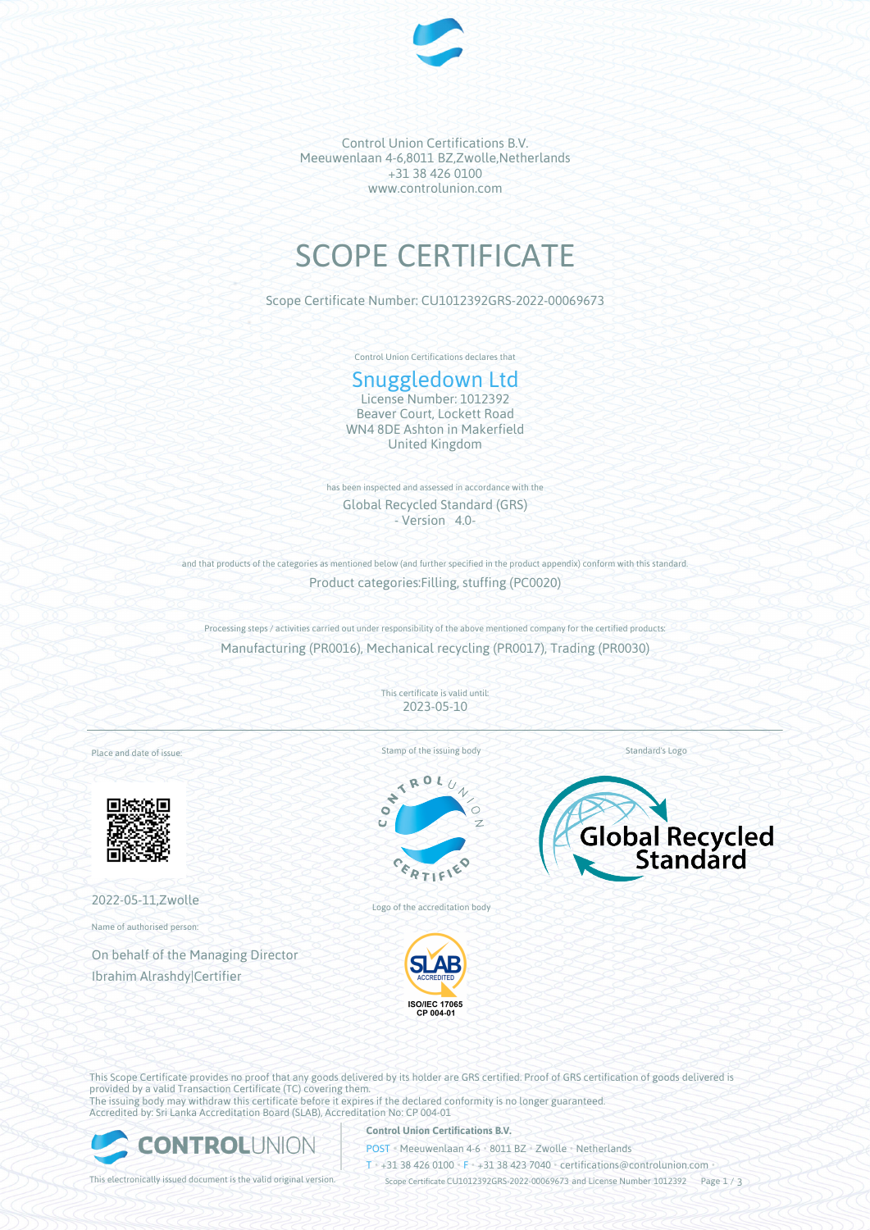

Control Union Certifications B.V. Meeuwenlaan 4-6,8011 BZ,Zwolle,Netherlands +31 38 426 0100 www.controlunion.com

# SCOPE CERTIFICATE

Scope Certificate Number: CU1012392GRS-2022-00069673

Control Union Certifications declares that

# Snuggledown Ltd

License Number: 1012392 Beaver Court, Lockett Road WN4 8DE Ashton in Makerfield United Kingdom

has been inspected and assessed in accordance with the Global Recycled Standard (GRS) - Version 4.0-

and that products of the categories as mentioned below (and further specified in the product appendix) conform with this standard. Product categories:Filling, stuffing (PC0020)

Processing steps / activities carried out under responsibility of the above mentioned company for the certified products: Manufacturing (PR0016), Mechanical recycling (PR0017), Trading (PR0030)

> This certificate is valid until: 2023-05-10

Place and date of issue:



2022-05-11,Zwolle

Name of authorised person:

On behalf of the Managing Director Ibrahim Alrashdy|Certifier

Stamp of the issuing body



Logo of the accreditation body



Global Recycled

Standard's Logo

This Scope Certificate provides no proof that any goods delivered by its holder are GRS certified. Proof of GRS certification of goods delivered is provided by a valid Transaction Certificate (TC) covering them. The issuing body may withdraw this certificate before it expires if the declared conformity is no longer guaranteed. Accredited by: Sri Lanka Accreditation Board (SLAB), Accreditation No: CP 004-01



#### **Control Union Certifications B.V.**

POST • Meeuwenlaan 4-6 • 8011 BZ • Zwolle • Netherlands

T • +31 38 426 0100 • F • +31 38 423 7040 • certifications@controlunion.com •

This electronically issued document is the valid original version. Scope Certificate CU1012392GRS-2022-00069673 and License Number 1012392 Page 1 / 3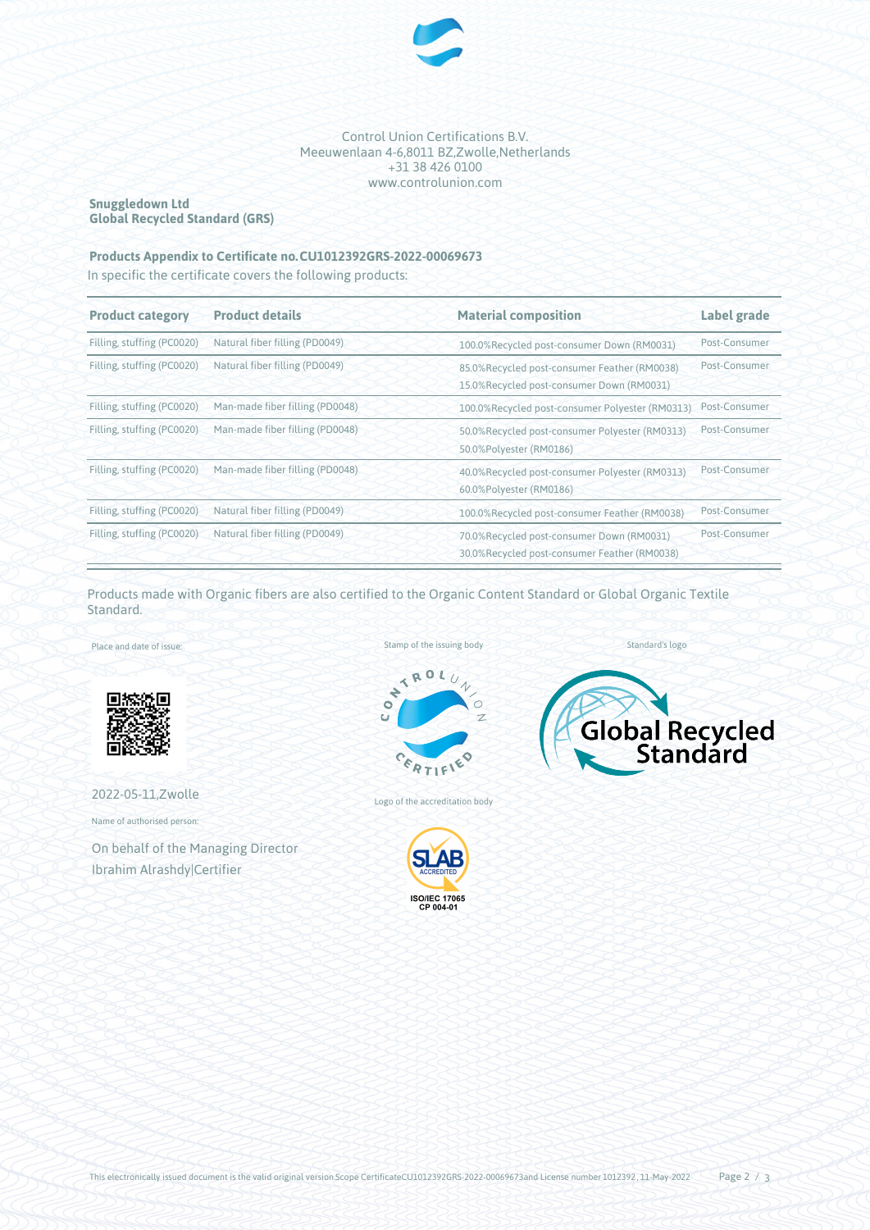

Control Union Certifications B.V. Meeuwenlaan 4-6,8011 BZ,Zwolle,Netherlands +31 38 426 0100 www.controlunion.com

## **Snuggledown Ltd Global Recycled Standard (GRS)**

## **Products Appendix to Certificate no.CU1012392GRS-2022-00069673**

In specific the certificate covers the following products:

| <b>Product category</b>    | <b>Product details</b>                                     | <b>Material composition</b>                                                               | Label grade   |
|----------------------------|------------------------------------------------------------|-------------------------------------------------------------------------------------------|---------------|
| Filling, stuffing (PC0020) | Natural fiber filling (PD0049)                             | 100.0%Recycled post-consumer Down (RM0031)                                                | Post-Consumer |
| Filling, stuffing (PC0020) | Natural fiber filling (PD0049)                             | 85.0%Recycled post-consumer Feather (RM0038)<br>15.0%Recycled post-consumer Down (RM0031) | Post-Consumer |
| Filling, stuffing (PC0020) | Man-made fiber filling (PD0048)                            | 100.0%Recycled post-consumer Polyester (RM0313)                                           | Post-Consumer |
|                            | Filling, stuffing (PC0020) Man-made fiber filling (PD0048) | 50.0%Recycled post-consumer Polyester (RM0313)<br>50.0%Polyester (RM0186)                 | Post-Consumer |
| Filling, stuffing (PC0020) | Man-made fiber filling (PD0048)                            | 40.0%Recycled post-consumer Polyester (RM0313)<br>60.0%Polyester (RM0186)                 | Post-Consumer |
| Filling, stuffing (PC0020) | Natural fiber filling (PD0049)                             | 100.0%Recycled post-consumer Feather (RM0038)                                             | Post-Consumer |
| Filling, stuffing (PC0020) | Natural fiber filling (PD0049)                             | 70.0%Recycled post-consumer Down (RM0031)<br>30.0%Recycled post-consumer Feather (RM0038) | Post-Consumer |

Products made with Organic fibers are also certified to the Organic Content Standard or Global Organic Textile Standard.

Place and date of issue:



2022-05-11,Zwolle

Name of authorised person:

On behalf of the Managing Director Ibrahim Alrashdy|Certifier







Logo of the accreditation body